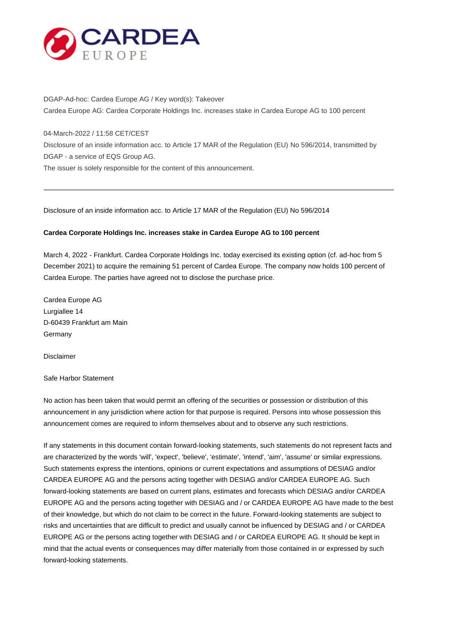

DGAP-Ad-hoc: Cardea Europe AG / Key word(s): Takeover Cardea Europe AG: Cardea Corporate Holdings Inc. increases stake in Cardea Europe AG to 100 percent

04-March-2022 / 11:58 CET/CEST

Disclosure of an inside information acc. to Article 17 MAR of the Regulation (EU) No 596/2014, transmitted by DGAP - a service of EQS Group AG.

The issuer is solely responsible for the content of this announcement.

Disclosure of an inside information acc. to Article 17 MAR of the Regulation (EU) No 596/2014

## **Cardea Corporate Holdings Inc. increases stake in Cardea Europe AG to 100 percent**

March 4, 2022 - Frankfurt. Cardea Corporate Holdings Inc. today exercised its existing option (cf. ad-hoc from 5 December 2021) to acquire the remaining 51 percent of Cardea Europe. The company now holds 100 percent of Cardea Europe. The parties have agreed not to disclose the purchase price.

Cardea Europe AG Lurgiallee 14 D-60439 Frankfurt am Main **Germany** 

Disclaimer

Safe Harbor Statement

No action has been taken that would permit an offering of the securities or possession or distribution of this announcement in any jurisdiction where action for that purpose is required. Persons into whose possession this announcement comes are required to inform themselves about and to observe any such restrictions.

If any statements in this document contain forward-looking statements, such statements do not represent facts and are characterized by the words 'will', 'expect', 'believe', 'estimate', 'intend', 'aim', 'assume' or similar expressions. Such statements express the intentions, opinions or current expectations and assumptions of DESIAG and/or CARDEA EUROPE AG and the persons acting together with DESIAG and/or CARDEA EUROPE AG. Such forward-looking statements are based on current plans, estimates and forecasts which DESIAG and/or CARDEA EUROPE AG and the persons acting together with DESIAG and / or CARDEA EUROPE AG have made to the best of their knowledge, but which do not claim to be correct in the future. Forward-looking statements are subject to risks and uncertainties that are difficult to predict and usually cannot be influenced by DESIAG and / or CARDEA EUROPE AG or the persons acting together with DESIAG and / or CARDEA EUROPE AG. It should be kept in mind that the actual events or consequences may differ materially from those contained in or expressed by such forward-looking statements.